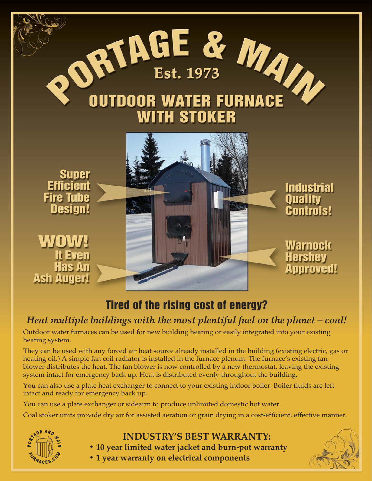

## Tired of the rising cost of energy?

### *Heat multiple buildings with the most plentiful fuel on the planet – coal!*

Outdoor water furnaces can be used for new building heating or easily integrated into your existing heating system.

They can be used with any forced air heat source already installed in the building (existing electric, gas or heating oil.) A simple fan coil radiator is installed in the furnace plenum. The furnace's existing fan blower distributes the heat. The fan blower is now controlled by a new thermostat, leaving the existing system intact for emergency back up. Heat is distributed evenly throughout the building.

You can also use a plate heat exchanger to connect to your existing indoor boiler. Boiler fluids are left intact and ready for emergency back up.

You can use a plate exchanger or sidearm to produce unlimited domestic hot water.

Coal stoker units provide dry air for assisted aeration or grain drying in a cost-efficient, effective manner.



- **INDUSTRY'S BEST WARRANTY:**
- **10 year limited water jacket and burn-pot warranty**
- **1 year warranty on electrical components**

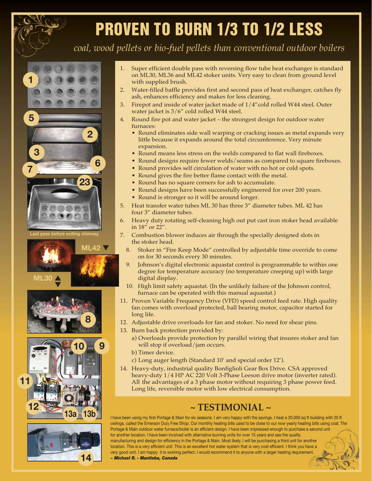# PROVEN TO BURN 1/3 TO 1/2 LESS

*coal, wood pellets or bio-fuel pellets than conventional outdoor boilers*





 $\overline{\blacktriangledown}$ 





- 1. Super efficient double pass with reversing flow tube heat exchanger is standard on ML30, ML36 and ML42 stoker units. Very easy to clean from ground level with supplied brush.
- 2. Water-filled baffle provides first and second pass of heat exchanger, catches fly ash, enhances efficiency and makes for less cleaning.
- 3. Firepot and inside of water jacket made of 1/4"cold rolled W44 steel. Outer water jacket is 3/6" cold rolled W44 steel.
- 4. Round fire pot and water jacket the strongest design for outdoor water furnaces:
	- Round eliminates side wall warping or cracking issues as metal expands very little because it expands around the total circumference. Very minute expansion.
	- Round means less stress on the welds compared to flat wall fireboxes.
	- Round designs require fewer welds/seams as compared to square fireboxes.
	- Round provides self circulation of water with no hot or cold spots.
	- Round gives the fire better flame contact with the metal.
	- Round has no square corners for ash to accumulate.
	- Round designs have been successfully engineered for over 200 years.
	- Round is stronger so it will be around longer.
- 5. Heat transfer water tubes ML 30 has three 3" diameter tubes. ML 42 has four 3" diameter tubes.
- 6. Heavy duty rotating self-cleaning high out put cast iron stoker head available in 18" or 22".
- 7. Combustion blower induces air through the specially designed slots in the stoker head.
	- 8. Stoker in "Fire Keep Mode" controlled by adjustable time override to come on for 30 seconds every 30 minutes.
	- 9. Johnson's digital electronic aquastat control is programmable to within one degree for temperature accuracy (no temperature creeping up) with large digital display.
	- 10. High limit safety aquastat. (In the unlikely failure of the Johnson control, furnace can be operated with this manual aquastat.)
- 11. Proven Variable Frequency Drive (VFD) speed control feed rate. High quality fan comes with overload protected, ball bearing motor, capacitor started for long life.
- 12. Adjustable drive overloads for fan and stoker. No need for shear pins.
- 13. Burn back protection provided by:
	- a) Overloads provide protection by parallel wiring that insures stoker and fan will stop if overload/jam occurs.
	- b) Timer device.
	- c) Long auger length (Standard 10' and special order 12').
- 14. Heavy-duty, industrial quality Bonfiglioli Gear Box Drive. CSA approved heavy-duty 1/4 HP AC 220 Volt 3-Phase Leeson drive motor (inverter rated). All the advantages of a 3 phase motor without requiring 3 phase power feed. Long life, reversible motor with low electrical consumption.

### **~ TESTIMONIAL ~**

I have been using my first Portage & Main for six seasons. I am very happy with the savings. I heat a 20,000 sq ft building with 20 ft ceilings, called the Emerson Duty Free Shop. Our monthly heating bills used to be close to our now yearly heating bills using coal. The Portage & Main outdoor water furnace/boiler is an efficient design. I have been impressed enough to purchase a second unit for another location. I have been involved with alternative burning units for over 15 years and see the quality manufacturing and design for efficiency in the Portage & Main. Most likely, I will be purchasing a third unit for another location. This is a very efficient unit. This is an excellent hot water system that is very cost efficient. I think you have a very good unit. I am happy it is working perfect. I would recommend it to anyone with a larger heating requirement. *~ Michael R. - Manitoba, Canada*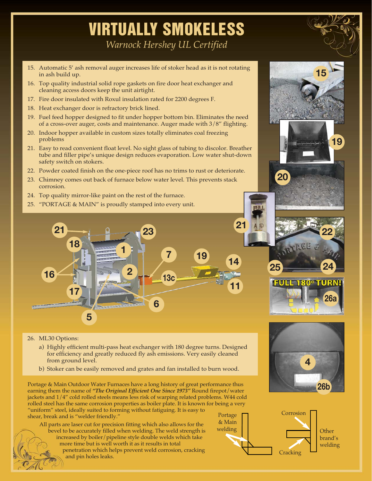## VIRTUALLY SMOKELESS

*Warnock Hershey UL Certified*

- 15. Automatic 5' ash removal auger increases life of stoker head as it is not rotating in ash build up.
- 16. Top quality industrial solid rope gaskets on fire door heat exchanger and cleaning access doors keep the unit airtight.
- 17. Fire door insulated with Roxul insulation rated for 2200 degrees F.
- 18. Heat exchanger door is refractory brick lined.
- 19. Fuel feed hopper designed to fit under hopper bottom bin. Eliminates the need of a cross-over auger, costs and maintenance. Auger made with 3/8" flighting.
- 20. Indoor hopper available in custom sizes totally eliminates coal freezing problems
- 21. Easy to read convenient float level. No sight glass of tubing to discolor. Breather tube and filler pipe's unique design reduces evaporation. Low water shut-down safety switch on stokers.
- 22. Powder coated finish on the one-piece roof has no trims to rust or deteriorate.
- 23. Chimney comes out back of furnace below water level. This prevents stack corrosion.
- 24. Top quality mirror-like paint on the rest of the furnace.
- 25. "PORTAGE & MAIN" is proudly stamped into every unit.



- 26. ML30 Options:
	- a) Highly efficient multi-pass heat exchanger with 180 degree turns. Designed for efficiency and greatly reduced fly ash emissions. Very easily cleaned from ground level.
	- b) Stoker can be easily removed and grates and fan installed to burn wood.

Portage & Main Outdoor Water Furnaces have a long history of great performance thus earning them the name of *"The Original Efficient One Since 1973"* Round firepot/water jackets and 1/4" cold rolled steels means less risk of warping related problems. W44 cold rolled steel has the same corrosion properties as boiler plate. It is known for being a very "uniform" steel, ideally suited to forming without fatiguing. It is easy to shear, break and is "welder friendly." Portage

All parts are laser cut for precision fitting which also allows for the bevel to be accurately filled when welding. The weld strength is increased by boiler/pipeline style double welds which take more time but is well worth it as it results in total penetration which helps prevent weld corrosion, cracking and pin holes leaks.



**Other** brand's welding

**26a**



**25 24**

**20**

**15**

**19**